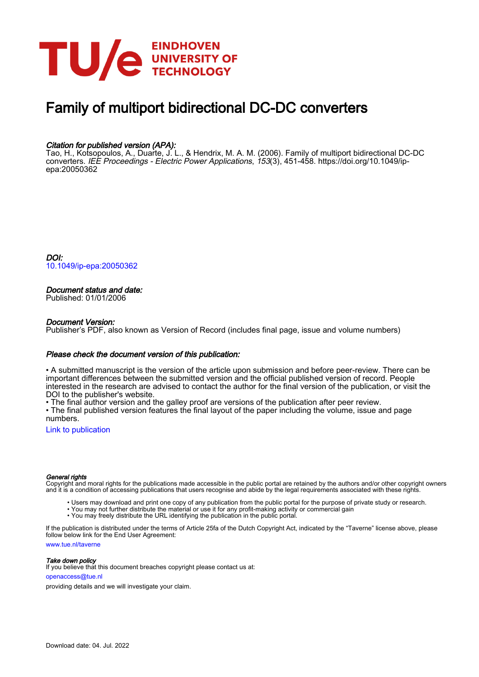

# Family of multiport bidirectional DC-DC converters

### Citation for published version (APA):

Tao, H., Kotsopoulos, A., Duarte, J. L., & Hendrix, M. A. M. (2006). Family of multiport bidirectional DC-DC converters. IEE Proceedings - Electric Power Applications, 153(3), 451-458. [https://doi.org/10.1049/ip](https://doi.org/10.1049/ip-epa:20050362)[epa:20050362](https://doi.org/10.1049/ip-epa:20050362)

DOI: [10.1049/ip-epa:20050362](https://doi.org/10.1049/ip-epa:20050362)

#### Document status and date:

Published: 01/01/2006

#### Document Version:

Publisher's PDF, also known as Version of Record (includes final page, issue and volume numbers)

#### Please check the document version of this publication:

• A submitted manuscript is the version of the article upon submission and before peer-review. There can be important differences between the submitted version and the official published version of record. People interested in the research are advised to contact the author for the final version of the publication, or visit the DOI to the publisher's website.

• The final author version and the galley proof are versions of the publication after peer review.

• The final published version features the final layout of the paper including the volume, issue and page numbers.

[Link to publication](https://research.tue.nl/en/publications/e6548ad9-c838-4470-8b61-5f458cd4e02d)

#### General rights

Copyright and moral rights for the publications made accessible in the public portal are retained by the authors and/or other copyright owners and it is a condition of accessing publications that users recognise and abide by the legal requirements associated with these rights.

- Users may download and print one copy of any publication from the public portal for the purpose of private study or research.
- You may not further distribute the material or use it for any profit-making activity or commercial gain
- You may freely distribute the URL identifying the publication in the public portal.

If the publication is distributed under the terms of Article 25fa of the Dutch Copyright Act, indicated by the "Taverne" license above, please follow below link for the End User Agreement:

www.tue.nl/taverne

**Take down policy**<br>If you believe that this document breaches copyright please contact us at:

openaccess@tue.nl

providing details and we will investigate your claim.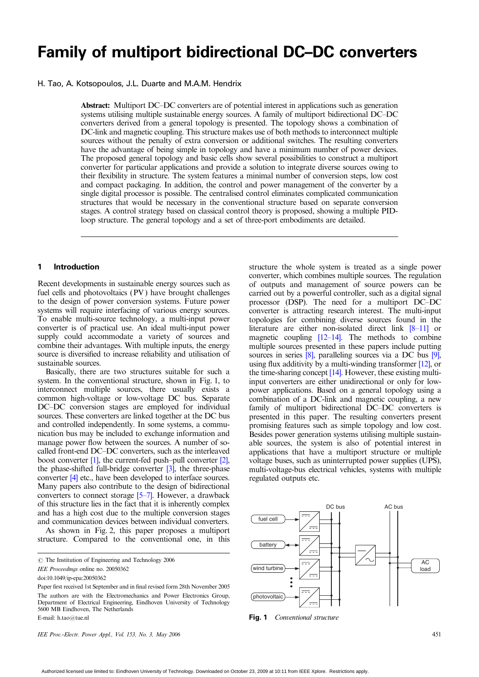# **Family of multiport bidirectional DC–DC converters**

#### H. Tao, A. Kotsopoulos, J.L. Duarte and M.A.M. Hendrix

Abstract: Multiport DC–DC converters are of potential interest in applications such as generation systems utilising multiple sustainable energy sources. A family of multiport bidirectional DC–DC converters derived from a general topology is presented. The topology shows a combination of DC-link and magnetic coupling. This structure makes use of both methods to interconnect multiple sources without the penalty of extra conversion or additional switches. The resulting converters have the advantage of being simple in topology and have a minimum number of power devices. The proposed general topology and basic cells show several possibilities to construct a multiport converter for particular applications and provide a solution to integrate diverse sources owing to their flexibility in structure. The system features a minimal number of conversion steps, low cost and compact packaging. In addition, the control and power management of the converter by a single digital processor is possible. The centralised control eliminates complicated communication structures that would be necessary in the conventional structure based on separate conversion stages. A control strategy based on classical control theory is proposed, showing a multiple PIDloop structure. The general topology and a set of three-port embodiments are detailed.

#### **1 Introduction**

Recent developments in sustainable energy sources such as fuel cells and photovoltaics (PV ) have brought challenges to the design of power conversion systems. Future power systems will require interfacing of various energy sources. To enable multi-source technology, a multi-input power converter is of practical use. An ideal multi-input power supply could accommodate a variety of sources and combine their advantages. With multiple inputs, the energy source is diversified to increase reliability and utilisation of sustainable sources.

Basically, there are two structures suitable for such a system. In the conventional structure, shown in Fig. 1, to interconnect multiple sources, there usually exists a common high-voltage or low-voltage DC bus. Separate DC–DC conversion stages are employed for individual sources. These converters are linked together at the DC bus and controlled independently. In some systems, a communication bus may be included to exchange information and manage power flow between the sources. A number of socalled front-end DC–DC converters, such as the interleaved boost converter [1], the current-fed push–pull converter [2], the phase-shifted full-bridge converter  $\overline{3}$ , the three-phase converter [4] etc., have been developed to interface sources. Many papers also contribute to the design of bidirectional converters to connect storage [5–7]. However, a drawback of this structure lies in the fact that it is inherently complex and has a high cost due to the multiple conversion stages and communication devices between individual converters.

As shown in Fig. 2, this paper proposes a multiport structure. Compared to the conventional one, in this

IEE Proc.-Electr. Power Appl., Vol. 153, No. 3, May 2006 451

structure the whole system is treated as a single power converter, which combines multiple sources. The regulation of outputs and management of source powers can be carried out by a powerful controller, such as a digital signal processor (DSP). The need for a multiport DC–DC converter is attracting research interest. The multi-input topologies for combining diverse sources found in the literature are either non-isolated direct link [8–11] or magnetic coupling  $[12-14]$ . The methods to combine multiple sources presented in these papers include putting sources in series [8], paralleling sources via a DC bus [9], using flux additivity by a multi-winding transformer [12], or the time-sharing concept [14]. However, these existing multiinput converters are either unidirectional or only for lowpower applications. Based on a general topology using a combination of a DC-link and magnetic coupling, a new family of multiport bidirectional DC–DC converters is presented in this paper. The resulting converters present promising features such as simple topology and low cost. Besides power generation systems utilising multiple sustainable sources, the system is also of potential interest in applications that have a multiport structure or multiple voltage buses, such as uninterrupted power supplies (UPS), multi-voltage-bus electrical vehicles, systems with multiple regulated outputs etc.



E-mail: h.tao@tue.nl **Fig. 1** Conventional structure

 $\circ$  The Institution of Engineering and Technology 2006

IEE Proceedings online no. 20050362

doi:10.1049/ip-epa:20050362

The authors are with the Electromechanics and Power Electronics Group, Department of Electrical Engineering, Eindhoven University of Technology 5600 MB Eindhoven, The Netherlands Paper first received 1st September and in final revised form 28th November 2005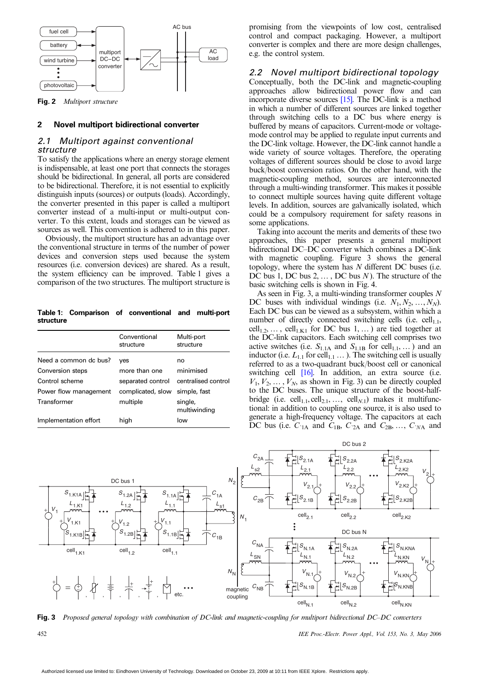

**Fig. 2** Multiport structure

#### **2 Novel multiport bidirectional converter**

### *2.1 Multiport against conventional structure*

To satisfy the applications where an energy storage element is indispensable, at least one port that connects the storages should be bidirectional. In general, all ports are considered to be bidirectional. Therefore, it is not essential to explicitly distinguish inputs (sources) or outputs (loads). Accordingly, the converter presented in this paper is called a multiport converter instead of a multi-input or multi-output converter. To this extent, loads and storages can be viewed as sources as well. This convention is adhered to in this paper.

Obviously, the multiport structure has an advantage over the conventional structure in terms of the number of power devices and conversion steps used because the system resources (i.e. conversion devices) are shared. As a result, the system efficiency can be improved. Table 1 gives a comparison of the two structures. The multiport structure is

**Table 1: Comparison of conventional and multi-port structure**

|                       | Conventional<br>structure | Multi-port<br>structure |
|-----------------------|---------------------------|-------------------------|
| Need a common dc bus? | ves                       | no                      |
| Conversion steps      | more than one             | minimised               |
| Control scheme        | separated control         | centralised control     |
| Power flow management | complicated, slow         | simple, fast            |
| Transformer           | multiple                  | single,<br>multiwinding |
| Implementation effort | high                      | low                     |
|                       |                           |                         |

promising from the viewpoints of low cost, centralised control and compact packaging. However, a multiport converter is complex and there are more design challenges, e.g. the control system.

*2.2 Novel multiport bidirectional topology*

Conceptually, both the DC-link and magnetic-coupling approaches allow bidirectional power flow and can incorporate diverse sources [15]. The DC-link is a method in which a number of different sources are linked together through switching cells to a DC bus where energy is buffered by means of capacitors. Current-mode or voltagemode control may be applied to regulate input currents and the DC-link voltage. However, the DC-link cannot handle a wide variety of source voltages. Therefore, the operating voltages of different sources should be close to avoid large buck/boost conversion ratios. On the other hand, with the magnetic-coupling method, sources are interconnected through a multi-winding transformer. This makes it possible to connect multiple sources having quite different voltage levels. In addition, sources are galvanically isolated, which could be a compulsory requirement for safety reasons in some applications.

Taking into account the merits and demerits of these two approaches, this paper presents a general multiport bidirectional DC–DC converter which combines a DC-link with magnetic coupling. Figure 3 shows the general topology, where the system has  $N$  different DC buses (i.e. DC bus 1, DC bus  $2, \ldots$ , DC bus N). The structure of the basic switching cells is shown in Fig. 4.

As seen in Fig. 3, a multi-winding transformer couples N DC buses with individual windings (i.e.  $N_1, N_2, \ldots, N_N$ ). Each DC bus can be viewed as a subsystem, within which a number of directly connected switching cells (i.e. cell<sub>11</sub>, cell<sub>1.2</sub>, ..., cell<sub>1.K1</sub> for DC bus 1, ...) are tied together at the DC-link capacitors. Each switching cell comprises two active switches (i.e.  $S_{1.1A}$  and  $S_{1.1B}$  for cell<sub>1.1</sub>, ...) and an inductor (i.e.  $L_{1,1}$  for cell<sub>1.1</sub> ...). The switching cell is usually referred to as a two-quadrant buck/boost cell or canonical switching cell [16]. In addition, an extra source (i.e.  $V_1, V_2, \ldots, V_N$ , as shown in Fig. 3) can be directly coupled to the DC buses. The unique structure of the boost-halfbridge (i.e. cell<sub>1.1</sub>, cell<sub>2.1</sub>, ..., cell<sub>N.1</sub>) makes it multifunctional: in addition to coupling one source, it is also used to generate a high-frequency voltage. The capacitors at each DC bus (i.e.  $C_{1A}$  and  $C_{1B}$ ,  $C_{2A}$  and  $C_{2B}$ , ...,  $C_{NA}$  and



**Fig. 3** Proposed general topology with combination of DC-link and magnetic-coupling for multiport bidirectional DC–DC converters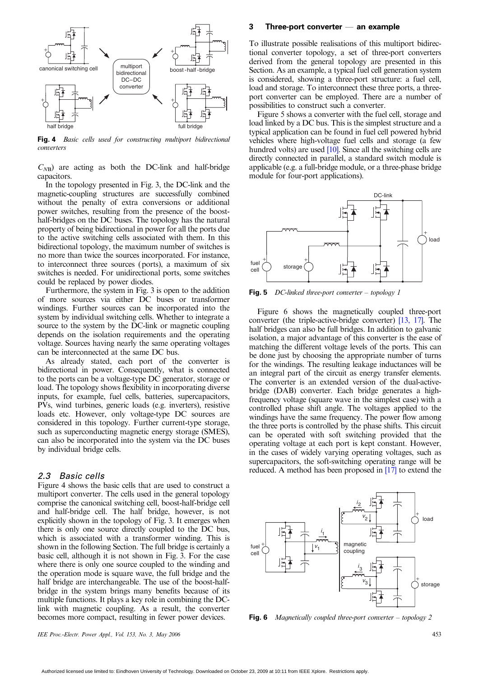

**Fig. 4** Basic cells used for constructing multiport bidirectional converters

 $C_{NB}$ ) are acting as both the DC-link and half-bridge capacitors.

In the topology presented in Fig. 3, the DC-link and the magnetic-coupling structures are successfully combined without the penalty of extra conversions or additional power switches, resulting from the presence of the boosthalf-bridges on the DC buses. The topology has the natural property of being bidirectional in power for all the ports due to the active switching cells associated with them. In this bidirectional topology, the maximum number of switches is no more than twice the sources incorporated. For instance, to interconnect three sources (ports), a maximum of six switches is needed. For unidirectional ports, some switches could be replaced by power diodes.

Furthermore, the system in Fig. 3 is open to the addition of more sources via either DC buses or transformer windings. Further sources can be incorporated into the system by individual switching cells. Whether to integrate a source to the system by the DC-link or magnetic coupling depends on the isolation requirements and the operating voltage. Sources having nearly the same operating voltages can be interconnected at the same DC bus.

As already stated, each port of the converter is bidirectional in power. Consequently, what is connected to the ports can be a voltage-type DC generator, storage or load. The topology shows flexibility in incorporating diverse inputs, for example, fuel cells, batteries, supercapacitors, PVs, wind turbines, generic loads (e.g. inverters), resistive loads etc. However, only voltage-type DC sources are considered in this topology. Further current-type storage, such as superconducting magnetic energy storage (SMES), can also be incorporated into the system via the DC buses by individual bridge cells.

#### *2.3 Basic cells*

Figure 4 shows the basic cells that are used to construct a multiport converter. The cells used in the general topology comprise the canonical switching cell, boost-half-bridge cell and half-bridge cell. The half bridge, however, is not explicitly shown in the topology of Fig. 3. It emerges when there is only one source directly coupled to the DC bus, which is associated with a transformer winding. This is shown in the following Section. The full bridge is certainly a basic cell, although it is not shown in Fig. 3. For the case where there is only one source coupled to the winding and the operation mode is square wave, the full bridge and the half bridge are interchangeable. The use of the boost-halfbridge in the system brings many benefits because of its multiple functions. It plays a key role in combining the DClink with magnetic coupling. As a result, the converter becomes more compact, resulting in fewer power devices.

#### **3** Three-port converter — an example

To illustrate possible realisations of this multiport bidirectional converter topology, a set of three-port converters derived from the general topology are presented in this Section. As an example, a typical fuel cell generation system is considered, showing a three-port structure: a fuel cell, load and storage. To interconnect these three ports, a threeport converter can be employed. There are a number of possibilities to construct such a converter.

Figure 5 shows a converter with the fuel cell, storage and load linked by a DC bus. This is the simplest structure and a typical application can be found in fuel cell powered hybrid vehicles where high-voltage fuel cells and storage (a few hundred volts) are used [10]. Since all the switching cells are directly connected in parallel, a standard switch module is applicable (e.g. a full-bridge module, or a three-phase bridge module for four-port applications).



**Fig. 5** DC-linked three-port converter – topology 1

Figure 6 shows the magnetically coupled three-port converter (the triple-active-bridge converter) [13, 17]. The half bridges can also be full bridges. In addition to galvanic isolation, a major advantage of this converter is the ease of matching the different voltage levels of the ports. This can be done just by choosing the appropriate number of turns for the windings. The resulting leakage inductances will be an integral part of the circuit as energy transfer elements. The converter is an extended version of the dual-activebridge (DAB) converter. Each bridge generates a highfrequency voltage (square wave in the simplest case) with a controlled phase shift angle. The voltages applied to the windings have the same frequency. The power flow among the three ports is controlled by the phase shifts. This circuit can be operated with soft switching provided that the operating voltage at each port is kept constant. However, in the cases of widely varying operating voltages, such as supercapacitors, the soft-switching operating range will be reduced. A method has been proposed in [17] to extend the



**Fig. 6** Magnetically coupled three-port converter – topology 2

IEE Proc.-Electr. Power Appl., Vol. 153, No. 3, May 2006 453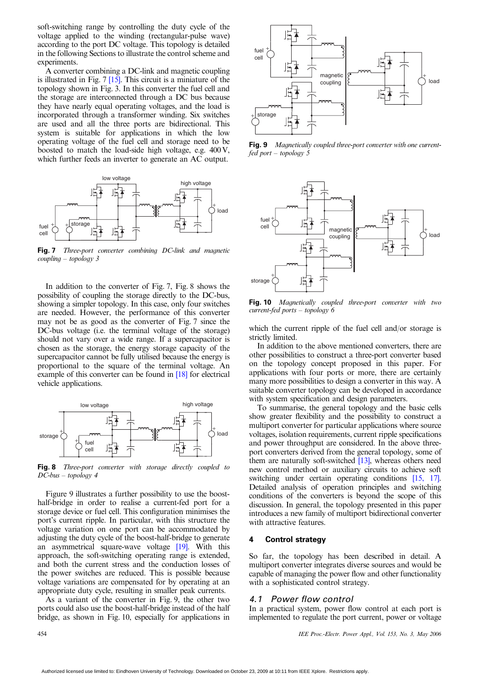soft-switching range by controlling the duty cycle of the voltage applied to the winding (rectangular-pulse wave) according to the port DC voltage. This topology is detailed in the following Sections to illustrate the control scheme and experiments.

A converter combining a DC-link and magnetic coupling is illustrated in Fig. 7 [15]. This circuit is a miniature of the topology shown in Fig. 3. In this converter the fuel cell and the storage are interconnected through a DC bus because they have nearly equal operating voltages, and the load is incorporated through a transformer winding. Six switches are used and all the three ports are bidirectional. This system is suitable for applications in which the low operating voltage of the fuel cell and storage need to be boosted to match the load-side high voltage, e.g. 400 V, which further feeds an inverter to generate an AC output.



**Fig. 7** Three-port converter combining DC-link and magnetic coupling – topology 3

In addition to the converter of Fig. 7, Fig. 8 shows the possibility of coupling the storage directly to the DC-bus, showing a simpler topology. In this case, only four switches are needed. However, the performance of this converter may not be as good as the converter of Fig. 7 since the DC-bus voltage (i.e. the terminal voltage of the storage) should not vary over a wide range. If a supercapacitor is chosen as the storage, the energy storage capacity of the supercapacitor cannot be fully utilised because the energy is proportional to the square of the terminal voltage. An example of this converter can be found in [18] for electrical vehicle applications.



**Fig. 8** Three-port converter with storage directly coupled to DC-bus – topology 4

Figure 9 illustrates a further possibility to use the boosthalf-bridge in order to realise a current-fed port for a storage device or fuel cell. This configuration minimises the port's current ripple. In particular, with this structure the voltage variation on one port can be accommodated by adjusting the duty cycle of the boost-half-bridge to generate an asymmetrical square-wave voltage [19]. With this approach, the soft-switching operating range is extended, and both the current stress and the conduction losses of the power switches are reduced. This is possible because voltage variations are compensated for by operating at an appropriate duty cycle, resulting in smaller peak currents.

As a variant of the converter in Fig. 9, the other two ports could also use the boost-half-bridge instead of the half bridge, as shown in Fig. 10, especially for applications in

**Fig. 9** Magnetically coupled three-port converter with one currentfed port – topology 5



**Fig. 10** Magnetically coupled three-port converter with two current-fed ports – topology 6

which the current ripple of the fuel cell and/or storage is strictly limited.

In addition to the above mentioned converters, there are other possibilities to construct a three-port converter based on the topology concept proposed in this paper. For applications with four ports or more, there are certainly many more possibilities to design a converter in this way. A suitable converter topology can be developed in accordance with system specification and design parameters.

To summarise, the general topology and the basic cells show greater flexibility and the possibility to construct a multiport converter for particular applications where source voltages, isolation requirements, current ripple specifications and power throughput are considered. In the above threeport converters derived from the general topology, some of them are naturally soft-switched  $[13]$ , whereas others need new control method or auxiliary circuits to achieve soft switching under certain operating conditions [15, 17]. Detailed analysis of operation principles and switching conditions of the converters is beyond the scope of this discussion. In general, the topology presented in this paper introduces a new family of multiport bidirectional converter with attractive features.

#### **4 Control strategy**

So far, the topology has been described in detail. A multiport converter integrates diverse sources and would be capable of managing the power flow and other functionality with a sophisticated control strategy.

#### *4.1 Power flow control*

In a practical system, power flow control at each port is implemented to regulate the port current, power or voltage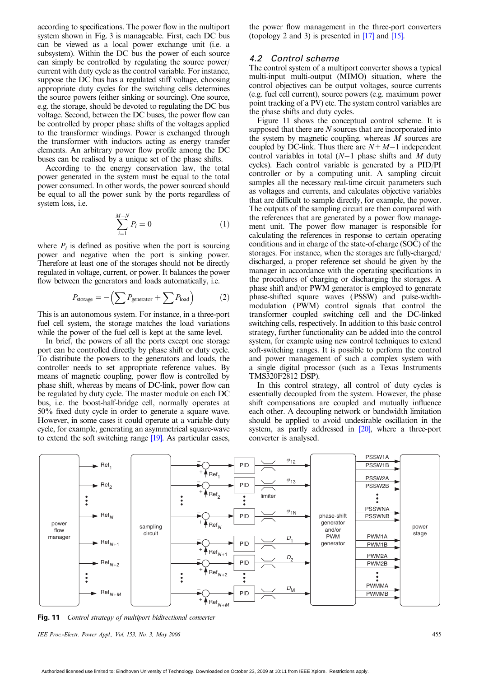according to specifications. The power flow in the multiport system shown in Fig. 3 is manageable. First, each DC bus can be viewed as a local power exchange unit (i.e. a subsystem). Within the DC bus the power of each source can simply be controlled by regulating the source power/ current with duty cycle as the control variable. For instance, suppose the DC bus has a regulated stiff voltage, choosing appropriate duty cycles for the switching cells determines the source powers (either sinking or sourcing). One source, e.g. the storage, should be devoted to regulating the DC bus voltage. Second, between the DC buses, the power flow can be controlled by proper phase shifts of the voltages applied to the transformer windings. Power is exchanged through the transformer with inductors acting as energy transfer elements. An arbitrary power flow profile among the DC buses can be realised by a unique set of the phase shifts.

According to the energy conservation law, the total power generated in the system must be equal to the total power consumed. In other words, the power sourced should be equal to all the power sunk by the ports regardless of system loss, i.e.

$$
\sum_{i=1}^{M+N} P_i = 0 \tag{1}
$$

where  $P_i$  is defined as positive when the port is sourcing power and negative when the port is sinking power. Therefore at least one of the storages should not be directly regulated in voltage, current, or power. It balances the power flow between the generators and loads automatically, i.e.

$$
P_{\text{storage}} = -\left(\sum P_{\text{generator}} + \sum P_{\text{load}}\right) \tag{2}
$$

This is an autonomous system. For instance, in a three-port fuel cell system, the storage matches the load variations while the power of the fuel cell is kept at the same level.

In brief, the powers of all the ports except one storage port can be controlled directly by phase shift or duty cycle. To distribute the powers to the generators and loads, the controller needs to set appropriate reference values. By means of magnetic coupling, power flow is controlled by phase shift, whereas by means of DC-link, power flow can be regulated by duty cycle. The master module on each DC bus, i.e. the boost-half-bridge cell, normally operates at 50% fixed duty cycle in order to generate a square wave. However, in some cases it could operate at a variable duty cycle, for example, generating an asymmetrical square-wave to extend the soft switching range [19]. As particular cases,

the power flow management in the three-port converters (topology 2 and 3) is presented in [17] and [15].

#### *4.2 Control scheme*

The control system of a multiport converter shows a typical multi-input multi-output (MIMO) situation, where the control objectives can be output voltages, source currents (e.g. fuel cell current), source powers (e.g. maximum power point tracking of a PV) etc. The system control variables are the phase shifts and duty cycles.

Figure 11 shows the conceptual control scheme. It is supposed that there are  $N$  sources that are incorporated into the system by magnetic coupling, whereas  $M$  sources are coupled by DC-link. Thus there are  $N+M-1$  independent control variables in total  $(N-1)$  phase shifts and M duty cycles). Each control variable is generated by a PID/PI controller or by a computing unit. A sampling circuit samples all the necessary real-time circuit parameters such as voltages and currents, and calculates objective variables that are difficult to sample directly, for example, the power. The outputs of the sampling circuit are then compared with the references that are generated by a power flow management unit. The power flow manager is responsible for calculating the references in response to certain operating conditions and in charge of the state-of-charge (SOC) of the storages. For instance, when the storages are fully-charged/ discharged, a proper reference set should be given by the manager in accordance with the operating specifications in the procedures of charging or discharging the storages. A phase shift and/or PWM generator is employed to generate phase-shifted square waves (PSSW) and pulse-widthmodulation (PWM) control signals that control the transformer coupled switching cell and the DC-linked switching cells, respectively. In addition to this basic control strategy, further functionality can be added into the control system, for example using new control techniques to extend soft-switching ranges. It is possible to perform the control and power management of such a complex system with a single digital processor (such as a Texas Instruments TMS320F2812 DSP).

In this control strategy, all control of duty cycles is essentially decoupled from the system. However, the phase shift compensations are coupled and mutually influence each other. A decoupling network or bandwidth limitation should be applied to avoid undesirable oscillation in the system, as partly addressed in [20], where a three-port converter is analysed.



**Fig. 11** Control strategy of multiport bidirectional converter

IEE Proc.-Electr. Power Appl., Vol. 153, No. 3, May 2006 455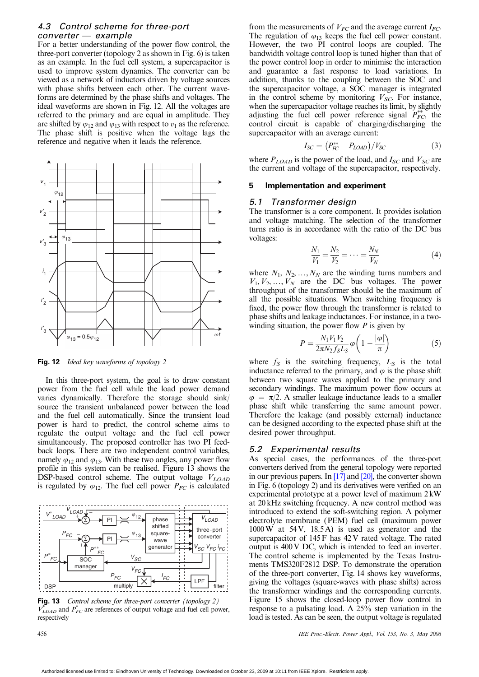#### *4.3 Control scheme for three-port*  $converter - example$

For a better understanding of the power flow control, the three-port converter (topology 2 as shown in Fig. 6) is taken as an example. In the fuel cell system, a supercapacitor is used to improve system dynamics. The converter can be viewed as a network of inductors driven by voltage sources with phase shifts between each other. The current waveforms are determined by the phase shifts and voltages. The ideal waveforms are shown in Fig. 12. All the voltages are referred to the primary and are equal in amplitude. They are shifted by  $\varphi_{12}$  and  $\varphi_{13}$  with respect to  $v_1$  as the reference. The phase shift is positive when the voltage lags the reference and negative when it leads the reference.



**Fig. 12** Ideal key waveforms of topology 2

In this three-port system, the goal is to draw constant power from the fuel cell while the load power demand varies dynamically. Therefore the storage should sink/ source the transient unbalanced power between the load and the fuel cell automatically. Since the transient load power is hard to predict, the control scheme aims to regulate the output voltage and the fuel cell power simultaneously. The proposed controller has two PI feedback loops. There are two independent control variables, namely  $\varphi_{12}$  and  $\varphi_{13}$ . With these two angles, any power flow profile in this system can be realised. Figure 13 shows the DSP-based control scheme. The output voltage  $V_{LOAD}$ is regulated by  $\varphi_{12}$ . The fuel cell power  $P_{FC}$  is calculated



**Fig. 13** Control scheme for three-port converter (topology 2)  $V_{LOAD}^*$  and  $P_{FC}^*$  are references of output voltage and fuel cell power, respectively

from the measurements of  $V_{FC}$  and the average current  $I_{FC}$ . The regulation of  $\varphi_{13}$  keeps the fuel cell power constant. However, the two PI control loops are coupled. The bandwidth voltage control loop is tuned higher than that of the power control loop in order to minimise the interaction and guarantee a fast response to load variations. In addition, thanks to the coupling between the SOC and the supercapacitor voltage, a SOC manager is integrated in the control scheme by monitoring  $V_{SC}$ . For instance, when the supercapacitor voltage reaches its limit, by slightly adjusting the fuel cell power reference signal  $P_{FC}^{**}$ , the control circuit is capable of charging/discharging the supercapacitor with an average current:

$$
I_{SC} = (P_{FC}^{**} - P_{LOAD})/V_{SC}
$$
 (3)

where  $P_{LOAD}$  is the power of the load, and  $I_{SC}$  and  $V_{SC}$  are the current and voltage of the supercapacitor, respectively.

#### **5 Implementation and experiment**

#### *5.1 Transformer design*

The transformer is a core component. It provides isolation and voltage matching. The selection of the transformer turns ratio is in accordance with the ratio of the DC bus voltages:

$$
\frac{N_1}{V_1} = \frac{N_2}{V_2} = \dots = \frac{N_N}{V_N}
$$
(4)

where  $N_1, N_2, ..., N_N$  are the winding turns numbers and  $V_1, V_2, \ldots, V_N$  are the DC bus voltages. The power throughput of the transformer should be the maximum of all the possible situations. When switching frequency is fixed, the power flow through the transformer is related to phase shifts and leakage inductances. For instance, in a twowinding situation, the power flow  $P$  is given by

$$
P = \frac{N_1 V_1 V_2}{2\pi N_2 f_S L_S} \varphi \left( 1 - \frac{|\varphi|}{\pi} \right) \tag{5}
$$

where  $f_S$  is the switching frequency,  $L_S$  is the total inductance referred to the primary, and  $\varphi$  is the phase shift between two square waves applied to the primary and secondary windings. The maximum power flow occurs at  $\varphi = \pi/2$ . A smaller leakage inductance leads to a smaller phase shift while transferring the same amount power. Therefore the leakage (and possibly external) inductance can be designed according to the expected phase shift at the desired power throughput.

#### *5.2 Experimental results*

As special cases, the performances of the three-port converters derived from the general topology were reported in our previous papers. In [17] and [20], the converter shown in Fig. 6 (topology 2) and its derivatives were verified on an experimental prototype at a power level of maximum 2 kW at 20 kHz switching frequency. A new control method was introduced to extend the soft-switching region. A polymer electrolyte membrane (PEM) fuel cell (maximum power 1000W at 54 V, 18.5 A) is used as generator and the supercapacitor of 145 F has 42 V rated voltage. The rated output is 400 V DC, which is intended to feed an inverter. The control scheme is implemented by the Texas Instruments TMS320F2812 DSP. To demonstrate the operation of the three-port converter, Fig. 14 shows key waveforms, giving the voltages (square-waves with phase shifts) across the transformer windings and the corresponding currents. Figure 15 shows the closed-loop power flow control in response to a pulsating load. A 25% step variation in the load is tested. As can be seen, the output voltage is regulated

456 IEE Proc.-Electr. Power Appl., Vol. 153, No. 3, May 2006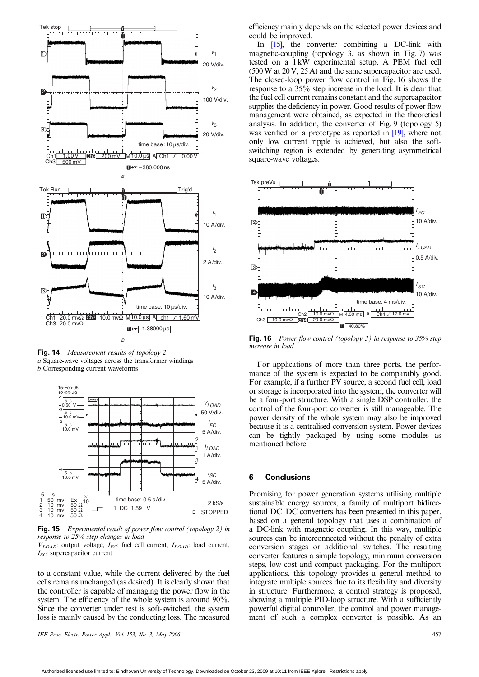

**Fig. 14** Measurement results of topology 2 a Square-wave voltages across the transformer windings b Corresponding current waveforms



**Fig. 15** Experimental result of power flow control (topology 2) in response to 25% step changes in load

 $V_{LOAD}$ : output voltage,  $I_{FC}$ : fuel cell current,  $I_{LOAD}$ : load current,  $I_{SC}$ : supercapacitor current

to a constant value, while the current delivered by the fuel cells remains unchanged (as desired). It is clearly shown that the controller is capable of managing the power flow in the system. The efficiency of the whole system is around  $90\%$ . Since the converter under test is soft-switched, the system loss is mainly caused by the conducting loss. The measured

IEE Proc.-Electr. Power Appl., Vol. 153, No. 3, May 2006 457

efficiency mainly depends on the selected power devices and could be improved.

In [15], the converter combining a DC-link with magnetic-coupling (topology 3, as shown in Fig. 7) was tested on a 1 kW experimental setup. A PEM fuel cell (500W at 20 V, 25 A) and the same supercapacitor are used. The closed-loop power flow control in Fig. 16 shows the response to a  $35\%$  step increase in the load. It is clear that the fuel cell current remains constant and the supercapacitor supplies the deficiency in power. Good results of power flow management were obtained, as expected in the theoretical analysis. In addition, the converter of Fig. 9 (topology 5) was verified on a prototype as reported in [19], where not only low current ripple is achieved, but also the softswitching region is extended by generating asymmetrical square-wave voltages.



**Fig. 16** Power flow control (topology 3) in response to 35% step increase in load

For applications of more than three ports, the performance of the system is expected to be comparably good. For example, if a further PV source, a second fuel cell, load or storage is incorporated into the system, the converter will be a four-port structure. With a single DSP controller, the control of the four-port converter is still manageable. The power density of the whole system may also be improved because it is a centralised conversion system. Power devices can be tightly packaged by using some modules as mentioned before.

#### **6 Conclusions**

Promising for power generation systems utilising multiple sustainable energy sources, a family of multiport bidirectional DC–DC converters has been presented in this paper, based on a general topology that uses a combination of a DC-link with magnetic coupling. In this way, multiple sources can be interconnected without the penalty of extra conversion stages or additional switches. The resulting converter features a simple topology, minimum conversion steps, low cost and compact packaging. For the multiport applications, this topology provides a general method to integrate multiple sources due to its flexibility and diversity in structure. Furthermore, a control strategy is proposed, showing a multiple PID-loop structure. With a sufficiently powerful digital controller, the control and power management of such a complex converter is possible. As an